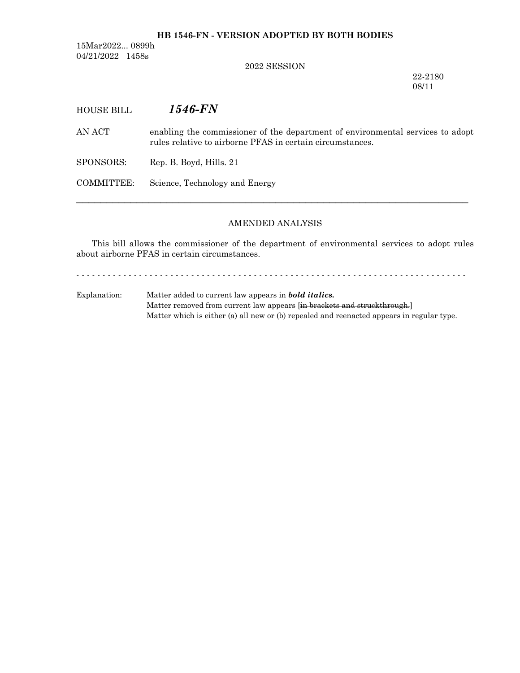### **HB 1546-FN - VERSION ADOPTED BY BOTH BODIES**

15Mar2022... 0899h 04/21/2022 1458s

2022 SESSION

22-2180 08/11

HOUSE BILL *1546-FN*

AN ACT enabling the commissioner of the department of environmental services to adopt rules relative to airborne PFAS in certain circumstances.

SPONSORS: Rep. B. Boyd, Hills. 21

COMMITTEE: Science, Technology and Energy

### AMENDED ANALYSIS

─────────────────────────────────────────────────────────────────

This bill allows the commissioner of the department of environmental services to adopt rules about airborne PFAS in certain circumstances.

- - - - - - - - - - - - - - - - - - - - - - - - - - - - - - - - - - - - - - - - - - - - - - - - - - - - - - - - - - - - - - - - - - - - - - - - - - -

Explanation: Matter added to current law appears in *bold italics.* Matter removed from current law appears [in brackets and struckthrough.] Matter which is either (a) all new or (b) repealed and reenacted appears in regular type.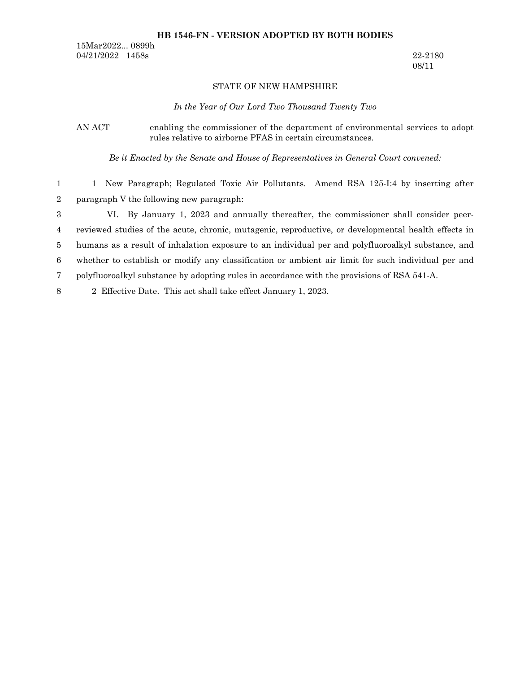#### **HB 1546-FN - VERSION ADOPTED BY BOTH BODIES**

15Mar2022... 0899h 04/21/2022 1458s 22-2180

08/11

### STATE OF NEW HAMPSHIRE

*In the Year of Our Lord Two Thousand Twenty Two*

# AN ACT enabling the commissioner of the department of environmental services to adopt rules relative to airborne PFAS in certain circumstances.

*Be it Enacted by the Senate and House of Representatives in General Court convened:*

1 New Paragraph; Regulated Toxic Air Pollutants. Amend RSA 125-I:4 by inserting after paragraph V the following new paragraph: 1 2

VI. By January 1, 2023 and annually thereafter, the commissioner shall consider peerreviewed studies of the acute, chronic, mutagenic, reproductive, or developmental health effects in humans as a result of inhalation exposure to an individual per and polyfluoroalkyl substance, and whether to establish or modify any classification or ambient air limit for such individual per and polyfluoroalkyl substance by adopting rules in accordance with the provisions of RSA 541-A. 2 Effective Date. This act shall take effect January 1, 2023. 3 4 5 6 7 8